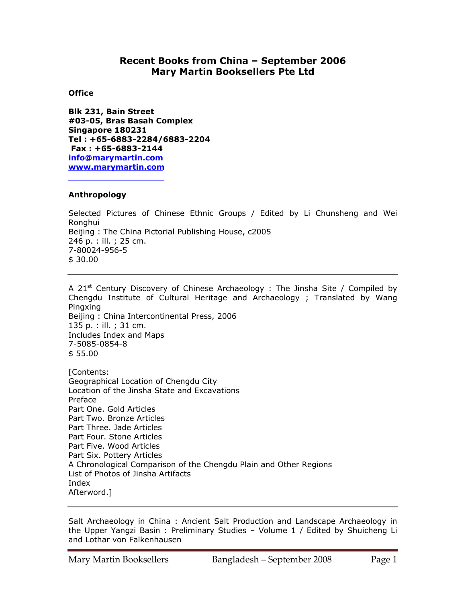# **Recent Books from China – September 2006 Mary Martin Booksellers Pte Ltd**

## **Office**

**Blk 231, Bain Street #03-05, Bras Basah Complex Singapore 180231 Tel : +65-6883-2284/6883-2204 Fax : +65-6883-2144 info@marymartin.com www.marymartin.com**

## **Anthropology**

Selected Pictures of Chinese Ethnic Groups / Edited by Li Chunsheng and Wei Ronghui Beijing : The China Pictorial Publishing House, c2005 246 p. : ill. ; 25 cm. 7-80024-956-5 \$ 30.00

A 21<sup>st</sup> Century Discovery of Chinese Archaeology : The Jinsha Site / Compiled by Chengdu Institute of Cultural Heritage and Archaeology ; Translated by Wang Pingxing Beijing : China Intercontinental Press, 2006 135 p. : ill. ; 31 cm. Includes Index and Maps 7-5085-0854-8 \$ 55.00 [Contents:

Geographical Location of Chengdu City Location of the Jinsha State and Excavations Preface Part One. Gold Articles Part Two. Bronze Articles Part Three. Jade Articles Part Four. Stone Articles Part Five. Wood Articles Part Six. Pottery Articles A Chronological Comparison of the Chengdu Plain and Other Regions List of Photos of Jinsha Artifacts Index Afterword.]

Salt Archaeology in China : Ancient Salt Production and Landscape Archaeology in the Upper Yangzi Basin : Preliminary Studies – Volume 1 / Edited by Shuicheng Li and Lothar von Falkenhausen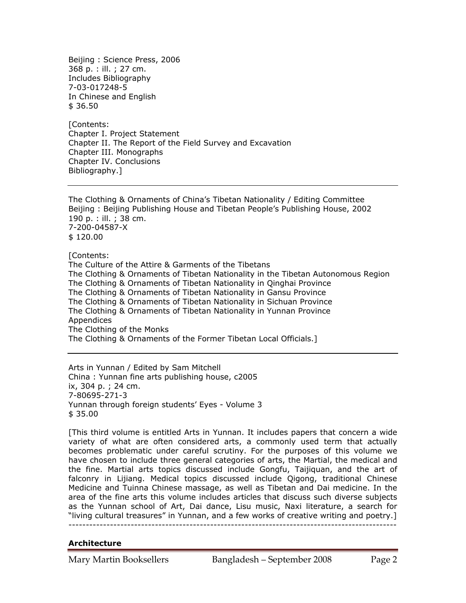Beijing : Science Press, 2006 368 p. : ill. ; 27 cm. Includes Bibliography 7-03-017248-5 In Chinese and English \$ 36.50

[Contents: Chapter I. Project Statement Chapter II. The Report of the Field Survey and Excavation Chapter III. Monographs Chapter IV. Conclusions Bibliography.]

The Clothing & Ornaments of China's Tibetan Nationality / Editing Committee Beijing : Beijing Publishing House and Tibetan People's Publishing House, 2002 190 p. : ill. ; 38 cm. 7-200-04587-X \$ 120.00

[Contents: The Culture of the Attire & Garments of the Tibetans The Clothing & Ornaments of Tibetan Nationality in the Tibetan Autonomous Region The Clothing & Ornaments of Tibetan Nationality in Qinghai Province The Clothing & Ornaments of Tibetan Nationality in Gansu Province The Clothing & Ornaments of Tibetan Nationality in Sichuan Province The Clothing & Ornaments of Tibetan Nationality in Yunnan Province Appendices The Clothing of the Monks The Clothing & Ornaments of the Former Tibetan Local Officials.]

Arts in Yunnan / Edited by Sam Mitchell China : Yunnan fine arts publishing house, c2005 ix, 304 p. ; 24 cm. 7-80695-271-3 Yunnan through foreign students' Eyes - Volume 3 \$ 35.00

[This third volume is entitled Arts in Yunnan. It includes papers that concern a wide variety of what are often considered arts, a commonly used term that actually becomes problematic under careful scrutiny. For the purposes of this volume we have chosen to include three general categories of arts, the Martial, the medical and the fine. Martial arts topics discussed include Gongfu, Taijiquan, and the art of falconry in Lijiang. Medical topics discussed include Qigong, traditional Chinese Medicine and Tuinna Chinese massage, as well as Tibetan and Dai medicine. In the area of the fine arts this volume includes articles that discuss such diverse subjects as the Yunnan school of Art, Dai dance, Lisu music, Naxi literature, a search for "living cultural treasures" in Yunnan, and a few works of creative writing and poetry.] -----------------------------------------------------------------------------------------------

#### **Architecture**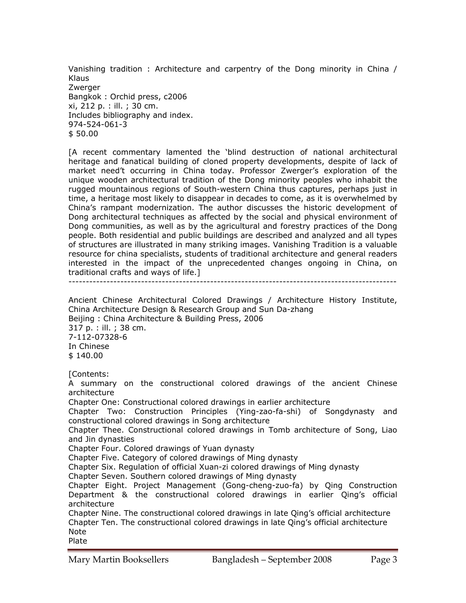Vanishing tradition : Architecture and carpentry of the Dong minority in China / Klaus **Zwerger** Bangkok : Orchid press, c2006 xi, 212 p. : ill. ; 30 cm. Includes bibliography and index. 974-524-061-3 \$ 50.00

[A recent commentary lamented the 'blind destruction of national architectural heritage and fanatical building of cloned property developments, despite of lack of market need't occurring in China today. Professor Zwerger's exploration of the unique wooden architectural tradition of the Dong minority peoples who inhabit the rugged mountainous regions of South-western China thus captures, perhaps just in time, a heritage most likely to disappear in decades to come, as it is overwhelmed by China's rampant modernization. The author discusses the historic development of Dong architectural techniques as affected by the social and physical environment of Dong communities, as well as by the agricultural and forestry practices of the Dong people. Both residential and public buildings are described and analyzed and all types of structures are illustrated in many striking images. Vanishing Tradition is a valuable resource for china specialists, students of traditional architecture and general readers interested in the impact of the unprecedented changes ongoing in China, on traditional crafts and ways of life.]

-----------------------------------------------------------------------------------------------

Ancient Chinese Architectural Colored Drawings / Architecture History Institute, China Architecture Design & Research Group and Sun Da-zhang Beijing : China Architecture & Building Press, 2006 317 p. : ill. ; 38 cm. 7-112-07328-6 In Chinese \$ 140.00

[Contents:

A summary on the constructional colored drawings of the ancient Chinese architecture

Chapter One: Constructional colored drawings in earlier architecture

Chapter Two: Construction Principles (Ying-zao-fa-shi) of Songdynasty and constructional colored drawings in Song architecture

Chapter Thee. Constructional colored drawings in Tomb architecture of Song, Liao and Jin dynasties

Chapter Four. Colored drawings of Yuan dynasty

Chapter Five. Category of colored drawings of Ming dynasty

Chapter Six. Regulation of official Xuan-zi colored drawings of Ming dynasty

Chapter Seven. Southern colored drawings of Ming dynasty

Chapter Eight. Project Management (Gong-cheng-zuo-fa) by Qing Construction Department & the constructional colored drawings in earlier Qing's official architecture

Chapter Nine. The constructional colored drawings in late Qing's official architecture Chapter Ten. The constructional colored drawings in late Qing's official architecture Note Plate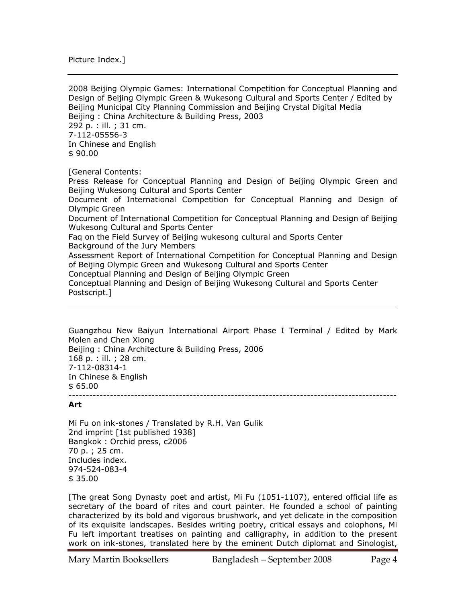Picture Index.]

2008 Beijing Olympic Games: International Competition for Conceptual Planning and Design of Beijing Olympic Green & Wukesong Cultural and Sports Center / Edited by Beijing Municipal City Planning Commission and Beijing Crystal Digital Media Beijing : China Architecture & Building Press, 2003 292 p. : ill. ; 31 cm. 7-112-05556-3 In Chinese and English \$ 90.00 [General Contents:

Press Release for Conceptual Planning and Design of Beijing Olympic Green and Beijing Wukesong Cultural and Sports Center Document of International Competition for Conceptual Planning and Design of Olympic Green

Document of International Competition for Conceptual Planning and Design of Beijing Wukesong Cultural and Sports Center

Faq on the Field Survey of Beijing wukesong cultural and Sports Center Background of the Jury Members

Assessment Report of International Competition for Conceptual Planning and Design of Beijing Olympic Green and Wukesong Cultural and Sports Center

Conceptual Planning and Design of Beijing Olympic Green

Conceptual Planning and Design of Beijing Wukesong Cultural and Sports Center Postscript.]

Guangzhou New Baiyun International Airport Phase I Terminal / Edited by Mark Molen and Chen Xiong Beijing : China Architecture & Building Press, 2006 168 p. : ill. ; 28 cm. 7-112-08314-1 In Chinese & English \$ 65.00 -----------------------------------------------------------------------------------------------

#### **Art**

Mi Fu on ink-stones / Translated by R.H. Van Gulik 2nd imprint [1st published 1938] Bangkok : Orchid press, c2006 70 p. ; 25 cm. Includes index. 974-524-083-4 \$ 35.00

[The great Song Dynasty poet and artist, Mi Fu (1051-1107), entered official life as secretary of the board of rites and court painter. He founded a school of painting characterized by its bold and vigorous brushwork, and yet delicate in the composition of its exquisite landscapes. Besides writing poetry, critical essays and colophons, Mi Fu left important treatises on painting and calligraphy, in addition to the present work on ink-stones, translated here by the eminent Dutch diplomat and Sinologist,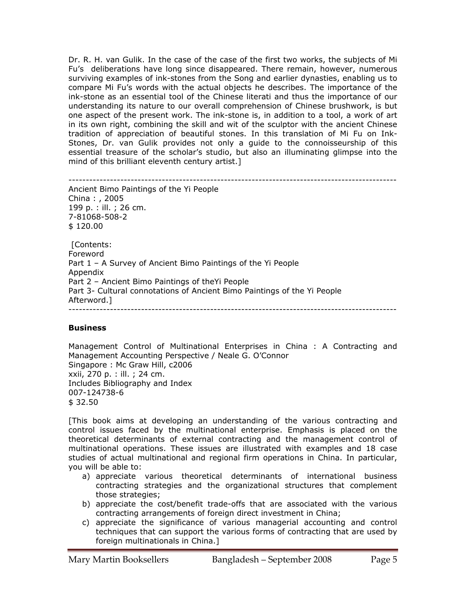Dr. R. H. van Gulik. In the case of the case of the first two works, the subjects of Mi Fu's deliberations have long since disappeared. There remain, however, numerous surviving examples of ink-stones from the Song and earlier dynasties, enabling us to compare Mi Fu's words with the actual objects he describes. The importance of the ink-stone as an essential tool of the Chinese literati and thus the importance of our understanding its nature to our overall comprehension of Chinese brushwork, is but one aspect of the present work. The ink-stone is, in addition to a tool, a work of art in its own right, combining the skill and wit of the sculptor with the ancient Chinese tradition of appreciation of beautiful stones. In this translation of Mi Fu on Ink-Stones, Dr. van Gulik provides not only a guide to the connoisseurship of this essential treasure of the scholar's studio, but also an illuminating glimpse into the mind of this brilliant eleventh century artist.]

----------------------------------------------------------------------------------------------- Ancient Bimo Paintings of the Yi People China : , 2005 199 p. : ill. ; 26 cm. 7-81068-508-2 \$ 120.00

 [Contents: Foreword Part 1 – A Survey of Ancient Bimo Paintings of the Yi People Appendix Part 2 – Ancient Bimo Paintings of theYi People Part 3- Cultural connotations of Ancient Bimo Paintings of the Yi People Afterword.] -----------------------------------------------------------------------------------------------

# **Business**

Management Control of Multinational Enterprises in China : A Contracting and Management Accounting Perspective / Neale G. O'Connor Singapore : Mc Graw Hill, c2006 xxii, 270 p. : ill. ; 24 cm. Includes Bibliography and Index 007-124738-6 \$ 32.50

[This book aims at developing an understanding of the various contracting and control issues faced by the multinational enterprise. Emphasis is placed on the theoretical determinants of external contracting and the management control of multinational operations. These issues are illustrated with examples and 18 case studies of actual multinational and regional firm operations in China. In particular, you will be able to:

- a) appreciate various theoretical determinants of international business contracting strategies and the organizational structures that complement those strategies;
- b) appreciate the cost/benefit trade-offs that are associated with the various contracting arrangements of foreign direct investment in China;
- c) appreciate the significance of various managerial accounting and control techniques that can support the various forms of contracting that are used by foreign multinationals in China.]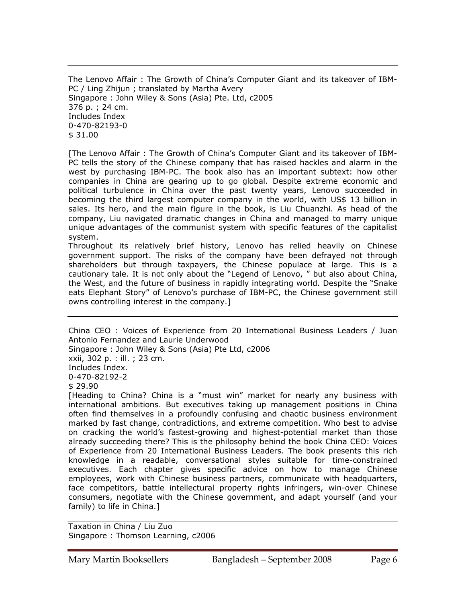The Lenovo Affair : The Growth of China's Computer Giant and its takeover of IBM-PC / Ling Zhijun ; translated by Martha Avery Singapore : John Wiley & Sons (Asia) Pte. Ltd, c2005 376 p. ; 24 cm. Includes Index 0-470-82193-0 \$ 31.00

[The Lenovo Affair : The Growth of China's Computer Giant and its takeover of IBM-PC tells the story of the Chinese company that has raised hackles and alarm in the west by purchasing IBM-PC. The book also has an important subtext: how other companies in China are gearing up to go global. Despite extreme economic and political turbulence in China over the past twenty years, Lenovo succeeded in becoming the third largest computer company in the world, with US\$ 13 billion in sales. Its hero, and the main figure in the book, is Liu Chuanzhi. As head of the company, Liu navigated dramatic changes in China and managed to marry unique unique advantages of the communist system with specific features of the capitalist system.

Throughout its relatively brief history, Lenovo has relied heavily on Chinese government support. The risks of the company have been defrayed not through shareholders but through taxpayers, the Chinese populace at large. This is a cautionary tale. It is not only about the "Legend of Lenovo, " but also about China, the West, and the future of business in rapidly integrating world. Despite the "Snake eats Elephant Story" of Lenovo's purchase of IBM-PC, the Chinese government still owns controlling interest in the company.]

China CEO : Voices of Experience from 20 International Business Leaders / Juan Antonio Fernandez and Laurie Underwood Singapore : John Wiley & Sons (Asia) Pte Ltd, c2006 xxii, 302 p. : ill. ; 23 cm. Includes Index. 0-470-82192-2 \$ 29.90 [Heading to China? China is a "must win" market for nearly any business with

international ambitions. But executives taking up management positions in China often find themselves in a profoundly confusing and chaotic business environment marked by fast change, contradictions, and extreme competition. Who best to advise on cracking the world's fastest-growing and highest-potential market than those already succeeding there? This is the philosophy behind the book China CEO: Voices of Experience from 20 International Business Leaders. The book presents this rich knowledge in a readable, conversational styles suitable for time-constrained executives. Each chapter gives specific advice on how to manage Chinese employees, work with Chinese business partners, communicate with headquarters, face competitors, battle intellectural property rights infringers, win-over Chinese consumers, negotiate with the Chinese government, and adapt yourself (and your family) to life in China.]

Taxation in China / Liu Zuo Singapore : Thomson Learning, c2006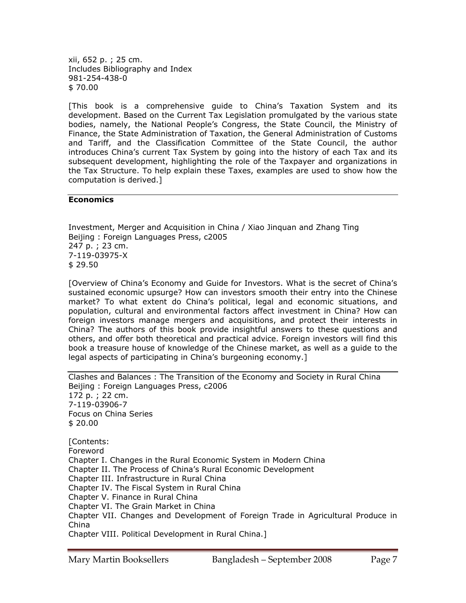xii, 652 p. ; 25 cm. Includes Bibliography and Index 981-254-438-0 \$ 70.00

[This book is a comprehensive guide to China's Taxation System and its development. Based on the Current Tax Legislation promulgated by the various state bodies, namely, the National People's Congress, the State Council, the Ministry of Finance, the State Administration of Taxation, the General Administration of Customs and Tariff, and the Classification Committee of the State Council, the author introduces China's current Tax System by going into the history of each Tax and its subsequent development, highlighting the role of the Taxpayer and organizations in the Tax Structure. To help explain these Taxes, examples are used to show how the computation is derived.]

# **Economics**

Investment, Merger and Acquisition in China / Xiao Jinquan and Zhang Ting Beijing : Foreign Languages Press, c2005 247 p. ; 23 cm. 7-119-03975-X \$ 29.50

[Overview of China's Economy and Guide for Investors. What is the secret of China's sustained economic upsurge? How can investors smooth their entry into the Chinese market? To what extent do China's political, legal and economic situations, and population, cultural and environmental factors affect investment in China? How can foreign investors manage mergers and acquisitions, and protect their interests in China? The authors of this book provide insightful answers to these questions and others, and offer both theoretical and practical advice. Foreign investors will find this book a treasure house of knowledge of the Chinese market, as well as a guide to the legal aspects of participating in China's burgeoning economy.]

Clashes and Balances : The Transition of the Economy and Society in Rural China Beijing : Foreign Languages Press, c2006 172 p. ; 22 cm. 7-119-03906-7 Focus on China Series \$ 20.00 [Contents: Foreword Chapter I. Changes in the Rural Economic System in Modern China Chapter II. The Process of China's Rural Economic Development Chapter III. Infrastructure in Rural China Chapter IV. The Fiscal System in Rural China Chapter V. Finance in Rural China Chapter VI. The Grain Market in China Chapter VII. Changes and Development of Foreign Trade in Agricultural Produce in China Chapter VIII. Political Development in Rural China.]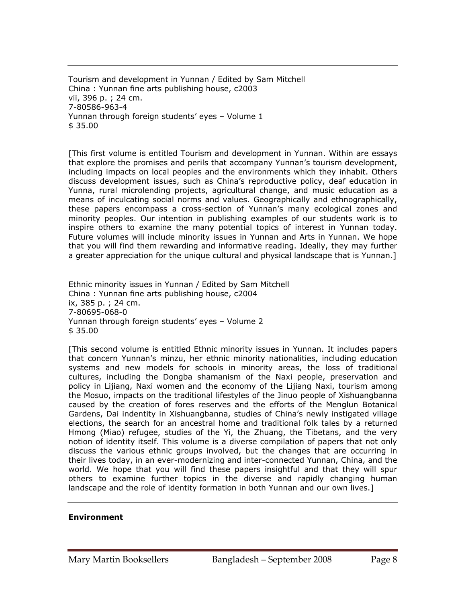Tourism and development in Yunnan / Edited by Sam Mitchell China : Yunnan fine arts publishing house, c2003 vii, 396 p. ; 24 cm. 7-80586-963-4 Yunnan through foreign students' eyes – Volume 1 \$ 35.00

[This first volume is entitled Tourism and development in Yunnan. Within are essays that explore the promises and perils that accompany Yunnan's tourism development, including impacts on local peoples and the environments which they inhabit. Others discuss development issues, such as China's reproductive policy, deaf education in Yunna, rural microlending projects, agricultural change, and music education as a means of inculcating social norms and values. Geographically and ethnographically, these papers encompass a cross-section of Yunnan's many ecological zones and minority peoples. Our intention in publishing examples of our students work is to inspire others to examine the many potential topics of interest in Yunnan today. Future volumes will include minority issues in Yunnan and Arts in Yunnan. We hope that you will find them rewarding and informative reading. Ideally, they may further a greater appreciation for the unique cultural and physical landscape that is Yunnan.]

Ethnic minority issues in Yunnan / Edited by Sam Mitchell China : Yunnan fine arts publishing house, c2004 ix, 385 p. ; 24 cm. 7-80695-068-0 Yunnan through foreign students' eyes – Volume 2 \$ 35.00

[This second volume is entitled Ethnic minority issues in Yunnan. It includes papers that concern Yunnan's minzu, her ethnic minority nationalities, including education systems and new models for schools in minority areas, the loss of traditional cultures, including the Dongba shamanism of the Naxi people, preservation and policy in Lijiang, Naxi women and the economy of the Lijiang Naxi, tourism among the Mosuo, impacts on the traditional lifestyles of the Jinuo people of Xishuangbanna caused by the creation of fores reserves and the efforts of the Menglun Botanical Gardens, Dai indentity in Xishuangbanna, studies of China's newly instigated village elections, the search for an ancestral home and traditional folk tales by a returned Hmong (Miao) refugee, studies of the Yi, the Zhuang, the Tibetans, and the very notion of identity itself. This volume is a diverse compilation of papers that not only discuss the various ethnic groups involved, but the changes that are occurring in their lives today, in an ever-modernizing and inter-connected Yunnan, China, and the world. We hope that you will find these papers insightful and that they will spur others to examine further topics in the diverse and rapidly changing human landscape and the role of identity formation in both Yunnan and our own lives.]

# **Environment**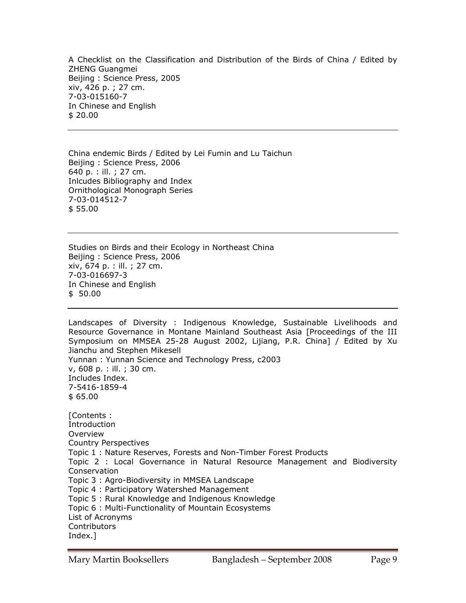A Checklist on the Classification and Distribution of the Birds of China / Edited by ZHENG Guangmei Beijing : Science Press, 2005 xiv, 426 p. ; 27 cm. 7-03-015160-7 In Chinese and English \$ 20.00

China endemic Birds / Edited by Lei Fumin and Lu Taichun Beijing : Science Press, 2006 640 p. : ill. ; 27 cm. Inlcudes Bibliography and Index Ornithological Monograph Series 7-03-014512-7 \$ 55.00

Studies on Birds and their Ecology in Northeast China Beijing : Science Press, 2006 xiv, 674 p. : ill. ; 27 cm. 7-03-016697-3 In Chinese and English \$ 50.00

Landscapes of Diversity : Indigenous Knowledge, Sustainable Livelihoods and Resource Governance in Montane Mainland Southeast Asia [Proceedings of the III Symposium on MMSEA 25-28 August 2002, Lijiang, P.R. China] / Edited by Xu Jianchu and Stephen Mikesell Yunnan : Yunnan Science and Technology Press, c2003 v, 608 p. : ill. ; 30 cm. Includes Index. 7-5416-1859-4 \$ 65.00 [Contents : **Introduction** Overview Country Perspectives Topic 1 : Nature Reserves, Forests and Non-Timber Forest Products Topic 2 : Local Governance in Natural Resource Management and Biodiversity Conservation Topic 3 : Agro-Biodiversity in MMSEA Landscape Topic 4 : Participatory Watershed Management Topic 5 : Rural Knowledge and Indigenous Knowledge Topic 6 : Multi-Functionality of Mountain Ecosystems List of Acronyms **Contributors** Index.]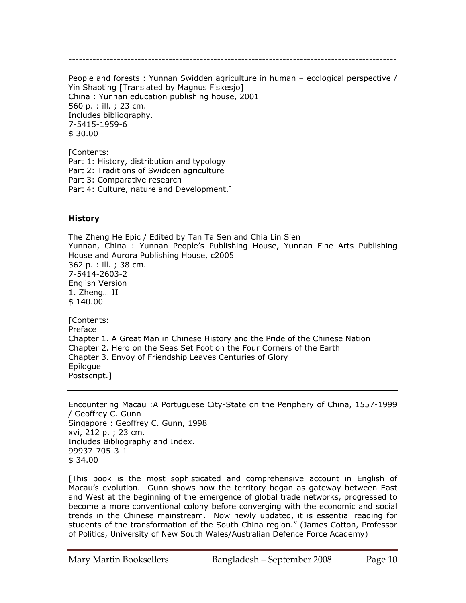-----------------------------------------------------------------------------------------------

People and forests : Yunnan Swidden agriculture in human – ecological perspective / Yin Shaoting [Translated by Magnus Fiskesjo] China : Yunnan education publishing house, 2001 560 p. : ill. ; 23 cm. Includes bibliography. 7-5415-1959-6 \$ 30.00

[Contents: Part 1: History, distribution and typology Part 2: Traditions of Swidden agriculture Part 3: Comparative research Part 4: Culture, nature and Development.]

## **History**

The Zheng He Epic / Edited by Tan Ta Sen and Chia Lin Sien Yunnan, China : Yunnan People's Publishing House, Yunnan Fine Arts Publishing House and Aurora Publishing House, c2005 362 p. : ill. ; 38 cm. 7-5414-2603-2 English Version 1. Zheng… II \$ 140.00 [Contents: Preface Chapter 1. A Great Man in Chinese History and the Pride of the Chinese Nation Chapter 2. Hero on the Seas Set Foot on the Four Corners of the Earth Chapter 3. Envoy of Friendship Leaves Centuries of Glory Epilogue

Postscript.]

Encountering Macau :A Portuguese City-State on the Periphery of China, 1557-1999 / Geoffrey C. Gunn Singapore : Geoffrey C. Gunn, 1998 xvi, 212 p. ; 23 cm. Includes Bibliography and Index. 99937-705-3-1 \$ 34.00

[This book is the most sophisticated and comprehensive account in English of Macau's evolution. Gunn shows how the territory began as gateway between East and West at the beginning of the emergence of global trade networks, progressed to become a more conventional colony before converging with the economic and social trends in the Chinese mainstream. Now newly updated, it is essential reading for students of the transformation of the South China region." (James Cotton, Professor of Politics, University of New South Wales/Australian Defence Force Academy)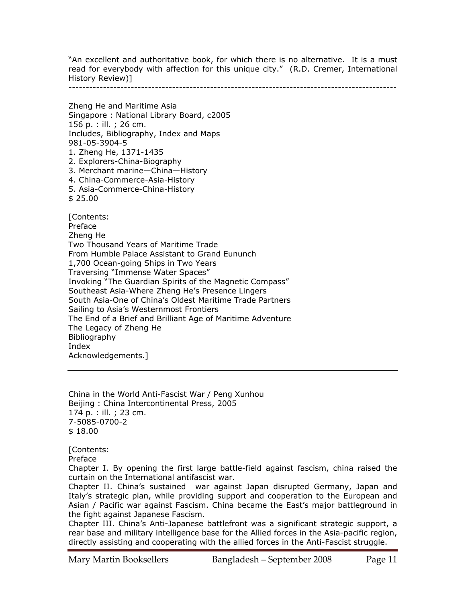"An excellent and authoritative book, for which there is no alternative. It is a must read for everybody with affection for this unique city." (R.D. Cremer, International History Review)]

-----------------------------------------------------------------------------------------------

Zheng He and Maritime Asia Singapore : National Library Board, c2005 156 p. : ill. ; 26 cm. Includes, Bibliography, Index and Maps 981-05-3904-5 1. Zheng He, 1371-1435 2. Explorers-China-Biography 3. Merchant marine—China—History 4. China-Commerce-Asia-History 5. Asia-Commerce-China-History \$ 25.00 [Contents: Preface Zheng He Two Thousand Years of Maritime Trade From Humble Palace Assistant to Grand Eununch 1,700 Ocean-going Ships in Two Years Traversing "Immense Water Spaces" Invoking "The Guardian Spirits of the Magnetic Compass" Southeast Asia-Where Zheng He's Presence Lingers South Asia-One of China's Oldest Maritime Trade Partners Sailing to Asia's Westernmost Frontiers The End of a Brief and Brilliant Age of Maritime Adventure The Legacy of Zheng He Bibliography Index Acknowledgements.]

China in the World Anti-Fascist War / Peng Xunhou Beijing : China Intercontinental Press, 2005 174 p. : ill. ; 23 cm. 7-5085-0700-2 \$ 18.00

[Contents:

Preface

Chapter I. By opening the first large battle-field against fascism, china raised the curtain on the International antifascist war.

Chapter II. China's sustained war against Japan disrupted Germany, Japan and Italy's strategic plan, while providing support and cooperation to the European and Asian / Pacific war against Fascism. China became the East's major battleground in the fight against Japanese Fascism.

Chapter III. China's Anti-Japanese battlefront was a significant strategic support, a rear base and military intelligence base for the Allied forces in the Asia-pacific region, directly assisting and cooperating with the allied forces in the Anti-Fascist struggle.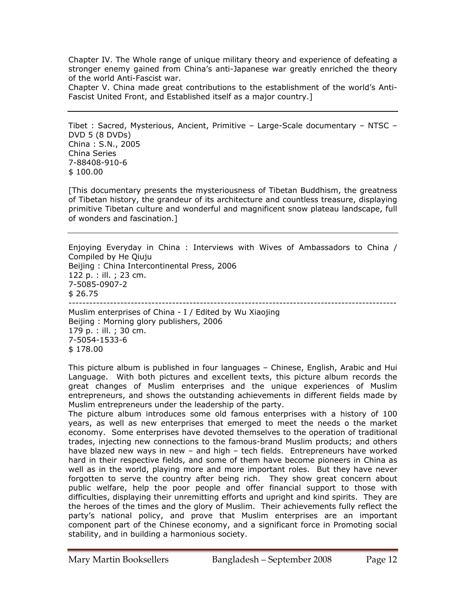Chapter IV. The Whole range of unique military theory and experience of defeating a stronger enemy gained from China's anti-Japanese war greatly enriched the theory of the world Anti-Fascist war.

Chapter V. China made great contributions to the establishment of the world's Anti-Fascist United Front, and Established itself as a major country.]

Tibet : Sacred, Mysterious, Ancient, Primitive – Large-Scale documentary – NTSC – DVD 5 (8 DVDs) China : S.N., 2005 China Series 7-88408-910-6 \$ 100.00

[This documentary presents the mysteriousness of Tibetan Buddhism, the greatness of Tibetan history, the grandeur of its architecture and countless treasure, displaying primitive Tibetan culture and wonderful and magnificent snow plateau landscape, full of wonders and fascination.]

Enjoying Everyday in China : Interviews with Wives of Ambassadors to China / Compiled by He Qiuju Beijing : China Intercontinental Press, 2006 122 p. : ill. ; 23 cm. 7-5085-0907-2 \$ 26.75 ----------------------------------------------------------------------------------------------- Muslim enterprises of China - I / Edited by Wu Xiaojing

Beijing : Morning glory publishers, 2006 179 p. : ill. ; 30 cm. 7-5054-1533-6 \$ 178.00

This picture album is published in four languages – Chinese, English, Arabic and Hui Language. With both pictures and excellent texts, this picture album records the great changes of Muslim enterprises and the unique experiences of Muslim entrepreneurs, and shows the outstanding achievements in different fields made by Muslim entrepreneurs under the leadership of the party.

The picture album introduces some old famous enterprises with a history of 100 years, as well as new enterprises that emerged to meet the needs o the market economy. Some enterprises have devoted themselves to the operation of traditional trades, injecting new connections to the famous-brand Muslim products; and others have blazed new ways in new – and high – tech fields. Entrepreneurs have worked hard in their respective fields, and some of them have become pioneers in China as well as in the world, playing more and more important roles. But they have never forgotten to serve the country after being rich. They show great concern about public welfare, help the poor people and offer financial support to those with difficulties, displaying their unremitting efforts and upright and kind spirits. They are the heroes of the times and the glory of Muslim. Their achievements fully reflect the party's national policy, and prove that Muslim enterprises are an important component part of the Chinese economy, and a significant force in Promoting social stability, and in building a harmonious society.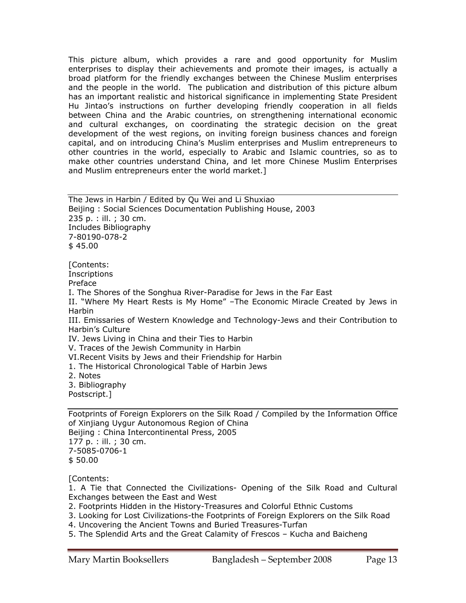This picture album, which provides a rare and good opportunity for Muslim enterprises to display their achievements and promote their images, is actually a broad platform for the friendly exchanges between the Chinese Muslim enterprises and the people in the world. The publication and distribution of this picture album has an important realistic and historical significance in implementing State President Hu Jintao's instructions on further developing friendly cooperation in all fields between China and the Arabic countries, on strengthening international economic and cultural exchanges, on coordinating the strategic decision on the great development of the west regions, on inviting foreign business chances and foreign capital, and on introducing China's Muslim enterprises and Muslim entrepreneurs to other countries in the world, especially to Arabic and Islamic countries, so as to make other countries understand China, and let more Chinese Muslim Enterprises and Muslim entrepreneurs enter the world market.]

The Jews in Harbin / Edited by Qu Wei and Li Shuxiao Beijing : Social Sciences Documentation Publishing House, 2003 235 p. : ill. ; 30 cm. Includes Bibliography 7-80190-078-2 \$ 45.00 [Contents: **Inscriptions** Preface I. The Shores of the Songhua River-Paradise for Jews in the Far East II. "Where My Heart Rests is My Home" –The Economic Miracle Created by Jews in Harbin III. Emissaries of Western Knowledge and Technology-Jews and their Contribution to Harbin's Culture IV. Jews Living in China and their Ties to Harbin V. Traces of the Jewish Community in Harbin VI.Recent Visits by Jews and their Friendship for Harbin 1. The Historical Chronological Table of Harbin Jews 2. Notes 3. Bibliography Postscript.]

Footprints of Foreign Explorers on the Silk Road / Compiled by the Information Office of Xinjiang Uygur Autonomous Region of China Beijing : China Intercontinental Press, 2005 177 p. : ill. ; 30 cm. 7-5085-0706-1 \$ 50.00

[Contents:

1. A Tie that Connected the Civilizations- Opening of the Silk Road and Cultural Exchanges between the East and West

2. Footprints Hidden in the History-Treasures and Colorful Ethnic Customs

3. Looking for Lost Civilizations-the Footprints of Foreign Explorers on the Silk Road

4. Uncovering the Ancient Towns and Buried Treasures-Turfan

5. The Splendid Arts and the Great Calamity of Frescos – Kucha and Baicheng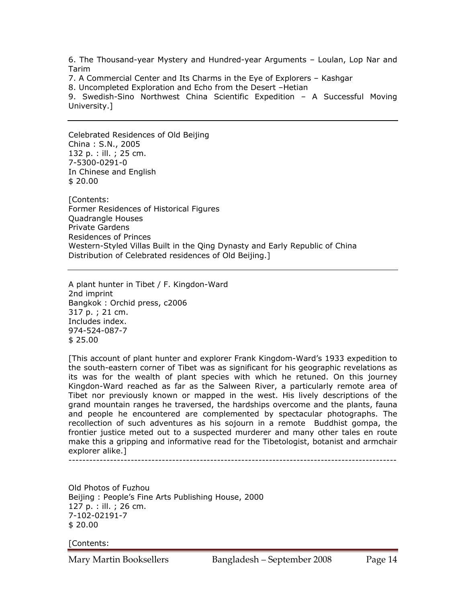6. The Thousand-year Mystery and Hundred-year Arguments – Loulan, Lop Nar and Tarim

7. A Commercial Center and Its Charms in the Eye of Explorers – Kashgar

8. Uncompleted Exploration and Echo from the Desert –Hetian

9. Swedish-Sino Northwest China Scientific Expedition – A Successful Moving University.]

Celebrated Residences of Old Beijing China : S.N., 2005 132 p. : ill. ; 25 cm. 7-5300-0291-0 In Chinese and English \$ 20.00

[Contents: Former Residences of Historical Figures Quadrangle Houses Private Gardens Residences of Princes Western-Styled Villas Built in the Qing Dynasty and Early Republic of China Distribution of Celebrated residences of Old Beijing.]

A plant hunter in Tibet / F. Kingdon-Ward 2nd imprint Bangkok : Orchid press, c2006 317 p. ; 21 cm. Includes index. 974-524-087-7 \$ 25.00

[This account of plant hunter and explorer Frank Kingdom-Ward's 1933 expedition to the south-eastern corner of Tibet was as significant for his geographic revelations as its was for the wealth of plant species with which he retuned. On this journey Kingdon-Ward reached as far as the Salween River, a particularly remote area of Tibet nor previously known or mapped in the west. His lively descriptions of the grand mountain ranges he traversed, the hardships overcome and the plants, fauna and people he encountered are complemented by spectacular photographs. The recollection of such adventures as his sojourn in a remote Buddhist gompa, the frontier justice meted out to a suspected murderer and many other tales en route make this a gripping and informative read for the Tibetologist, botanist and armchair explorer alike.]

-----------------------------------------------------------------------------------------------

Old Photos of Fuzhou Beijing : People's Fine Arts Publishing House, 2000 127 p. : ill. ; 26 cm. 7-102-02191-7 \$ 20.00

[Contents: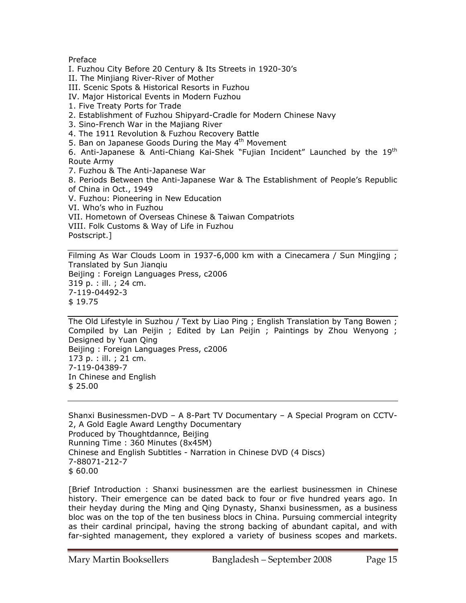# Preface

I. Fuzhou City Before 20 Century & Its Streets in 1920-30's

II. The Minjiang River-River of Mother

III. Scenic Spots & Historical Resorts in Fuzhou

IV. Major Historical Events in Modern Fuzhou

1. Five Treaty Ports for Trade

2. Establishment of Fuzhou Shipyard-Cradle for Modern Chinese Navy

3. Sino-French War in the Majiang River

4. The 1911 Revolution & Fuzhou Recovery Battle

5. Ban on Japanese Goods During the May  $4<sup>th</sup>$  Movement

6. Anti-Japanese & Anti-Chiang Kai-Shek "Fujian Incident" Launched by the 19th Route Army

7. Fuzhou & The Anti-Japanese War

8. Periods Between the Anti-Japanese War & The Establishment of People's Republic of China in Oct., 1949

V. Fuzhou: Pioneering in New Education

VI. Who's who in Fuzhou

VII. Hometown of Overseas Chinese & Taiwan Compatriots

VIII. Folk Customs & Way of Life in Fuzhou

Postscript.]

Filming As War Clouds Loom in 1937-6,000 km with a Cinecamera / Sun Mingjing ; Translated by Sun Jianqiu Beijing : Foreign Languages Press, c2006 319 p. : ill. ; 24 cm. 7-119-04492-3 \$ 19.75

The Old Lifestyle in Suzhou / Text by Liao Ping ; English Translation by Tang Bowen ; Compiled by Lan Peijin ; Edited by Lan Peijin ; Paintings by Zhou Wenyong ; Designed by Yuan Qing Beijing : Foreign Languages Press, c2006 173 p. : ill. ; 21 cm. 7-119-04389-7 In Chinese and English \$ 25.00

Shanxi Businessmen-DVD – A 8-Part TV Documentary – A Special Program on CCTV-2, A Gold Eagle Award Lengthy Documentary Produced by Thoughtdannce, Beijing Running Time : 360 Minutes (8x45M) Chinese and English Subtitles - Narration in Chinese DVD (4 Discs) 7-88071-212-7 \$ 60.00

[Brief Introduction : Shanxi businessmen are the earliest businessmen in Chinese history. Their emergence can be dated back to four or five hundred years ago. In their heyday during the Ming and Qing Dynasty, Shanxi businessmen, as a business bloc was on the top of the ten business blocs in China. Pursuing commercial integrity as their cardinal principal, having the strong backing of abundant capital, and with far-sighted management, they explored a variety of business scopes and markets.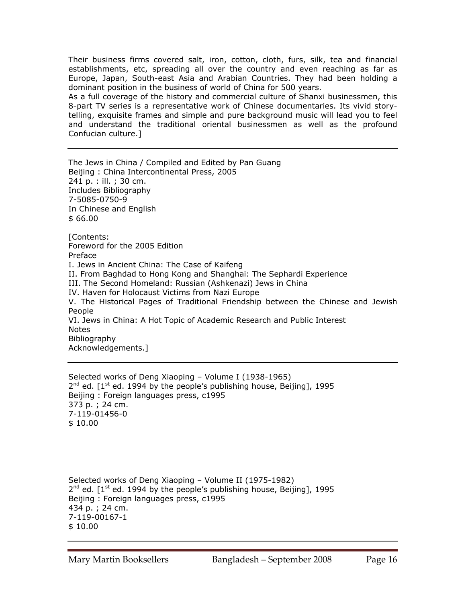Their business firms covered salt, iron, cotton, cloth, furs, silk, tea and financial establishments, etc, spreading all over the country and even reaching as far as Europe, Japan, South-east Asia and Arabian Countries. They had been holding a dominant position in the business of world of China for 500 years.

As a full coverage of the history and commercial culture of Shanxi businessmen, this 8-part TV series is a representative work of Chinese documentaries. Its vivid storytelling, exquisite frames and simple and pure background music will lead you to feel and understand the traditional oriental businessmen as well as the profound Confucian culture.]

The Jews in China / Compiled and Edited by Pan Guang Beijing : China Intercontinental Press, 2005 241 p. : ill. ; 30 cm. Includes Bibliography 7-5085-0750-9 In Chinese and English \$ 66.00 [Contents: Foreword for the 2005 Edition Preface I. Jews in Ancient China: The Case of Kaifeng II. From Baghdad to Hong Kong and Shanghai: The Sephardi Experience III. The Second Homeland: Russian (Ashkenazi) Jews in China IV. Haven for Holocaust Victims from Nazi Europe V. The Historical Pages of Traditional Friendship between the Chinese and Jewish People VI. Jews in China: A Hot Topic of Academic Research and Public Interest Notes Bibliography Acknowledgements.]

Selected works of Deng Xiaoping – Volume I (1938-1965)  $2^{nd}$  ed.  $1^{st}$  ed. 1994 by the people's publishing house, Beijing], 1995 Beijing : Foreign languages press, c1995 373 p. ; 24 cm. 7-119-01456-0 \$ 10.00

Selected works of Deng Xiaoping – Volume II (1975-1982)  $2^{nd}$  ed.  $[1^{st}$  ed. 1994 by the people's publishing house, Beijing], 1995 Beijing : Foreign languages press, c1995 434 p. ; 24 cm. 7-119-00167-1 \$ 10.00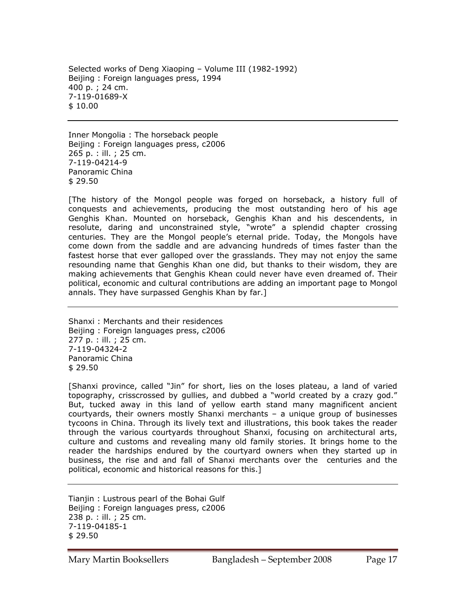Selected works of Deng Xiaoping – Volume III (1982-1992) Beijing : Foreign languages press, 1994 400 p. ; 24 cm. 7-119-01689-X \$ 10.00

Inner Mongolia : The horseback people Beijing : Foreign languages press, c2006 265 p. : ill. ; 25 cm. 7-119-04214-9 Panoramic China \$ 29.50

[The history of the Mongol people was forged on horseback, a history full of conquests and achievements, producing the most outstanding hero of his age Genghis Khan. Mounted on horseback, Genghis Khan and his descendents, in resolute, daring and unconstrained style, "wrote" a splendid chapter crossing centuries. They are the Mongol people's eternal pride. Today, the Mongols have come down from the saddle and are advancing hundreds of times faster than the fastest horse that ever galloped over the grasslands. They may not enjoy the same resounding name that Genghis Khan one did, but thanks to their wisdom, they are making achievements that Genghis Khean could never have even dreamed of. Their political, economic and cultural contributions are adding an important page to Mongol annals. They have surpassed Genghis Khan by far.]

Shanxi : Merchants and their residences Beijing : Foreign languages press, c2006 277 p. : ill. ; 25 cm. 7-119-04324-2 Panoramic China \$ 29.50

[Shanxi province, called "Jin" for short, lies on the loses plateau, a land of varied topography, crisscrossed by gullies, and dubbed a "world created by a crazy god." But, tucked away in this land of yellow earth stand many magnificent ancient courtyards, their owners mostly Shanxi merchants – a unique group of businesses tycoons in China. Through its lively text and illustrations, this book takes the reader through the various courtyards throughout Shanxi, focusing on architectural arts, culture and customs and revealing many old family stories. It brings home to the reader the hardships endured by the courtyard owners when they started up in business, the rise and and fall of Shanxi merchants over the centuries and the political, economic and historical reasons for this.]

Tianjin : Lustrous pearl of the Bohai Gulf Beijing : Foreign languages press, c2006 238 p. : ill. ; 25 cm. 7-119-04185-1 \$ 29.50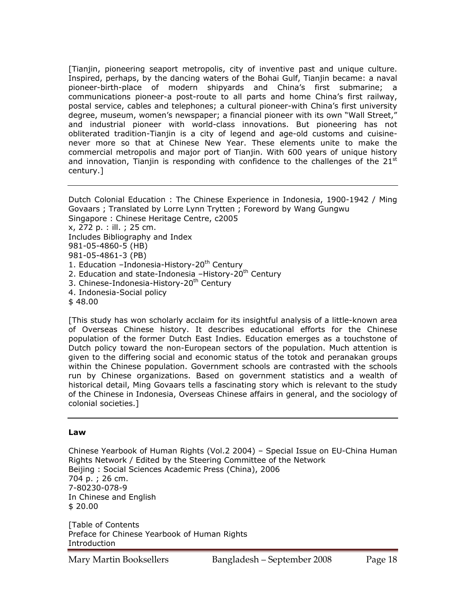[Tianjin, pioneering seaport metropolis, city of inventive past and unique culture. Inspired, perhaps, by the dancing waters of the Bohai Gulf, Tianjin became: a naval pioneer-birth-place of modern shipyards and China's first submarine; a communications pioneer-a post-route to all parts and home China's first railway, postal service, cables and telephones; a cultural pioneer-with China's first university degree, museum, women's newspaper; a financial pioneer with its own "Wall Street," and industrial pioneer with world-class innovations. But pioneering has not obliterated tradition-Tianjin is a city of legend and age-old customs and cuisinenever more so that at Chinese New Year. These elements unite to make the commercial metropolis and major port of Tianjin. With 600 years of unique history and innovation, Tianjin is responding with confidence to the challenges of the  $21<sup>st</sup>$ century.]

Dutch Colonial Education : The Chinese Experience in Indonesia, 1900-1942 / Ming Govaars ; Translated by Lorre Lynn Trytten ; Foreword by Wang Gungwu Singapore : Chinese Heritage Centre, c2005 x, 272 p. : ill. ; 25 cm. Includes Bibliography and Index 981-05-4860-5 (HB) 981-05-4861-3 (PB) 1. Education -Indonesia-History-20<sup>th</sup> Century 2. Education and state-Indonesia -History-20<sup>th</sup> Century 3. Chinese-Indonesia-History-20<sup>th</sup> Century 4. Indonesia-Social policy \$ 48.00

[This study has won scholarly acclaim for its insightful analysis of a little-known area of Overseas Chinese history. It describes educational efforts for the Chinese population of the former Dutch East Indies. Education emerges as a touchstone of Dutch policy toward the non-European sectors of the population. Much attention is given to the differing social and economic status of the totok and peranakan groups within the Chinese population. Government schools are contrasted with the schools run by Chinese organizations. Based on government statistics and a wealth of historical detail, Ming Govaars tells a fascinating story which is relevant to the study of the Chinese in Indonesia, Overseas Chinese affairs in general, and the sociology of colonial societies.]

#### **Law**

Chinese Yearbook of Human Rights (Vol.2 2004) – Special Issue on EU-China Human Rights Network / Edited by the Steering Committee of the Network Beijing : Social Sciences Academic Press (China), 2006 704 p. ; 26 cm. 7-80230-078-9 In Chinese and English \$ 20.00

[Table of Contents Preface for Chinese Yearbook of Human Rights Introduction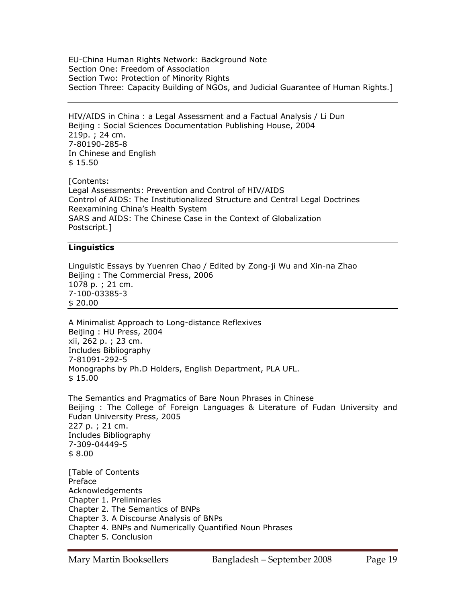EU-China Human Rights Network: Background Note Section One: Freedom of Association Section Two: Protection of Minority Rights Section Three: Capacity Building of NGOs, and Judicial Guarantee of Human Rights.]

HIV/AIDS in China : a Legal Assessment and a Factual Analysis / Li Dun Beijing : Social Sciences Documentation Publishing House, 2004 219p. ; 24 cm. 7-80190-285-8 In Chinese and English \$ 15.50

[Contents: Legal Assessments: Prevention and Control of HIV/AIDS Control of AIDS: The Institutionalized Structure and Central Legal Doctrines Reexamining China's Health System SARS and AIDS: The Chinese Case in the Context of Globalization Postscript.]

# **Linguistics**

Linguistic Essays by Yuenren Chao / Edited by Zong-ji Wu and Xin-na Zhao Beijing : The Commercial Press, 2006 1078 p. ; 21 cm. 7-100-03385-3 \$ 20.00

A Minimalist Approach to Long-distance Reflexives Beijing : HU Press, 2004 xii, 262 p. ; 23 cm. Includes Bibliography 7-81091-292-5 Monographs by Ph.D Holders, English Department, PLA UFL. \$ 15.00

The Semantics and Pragmatics of Bare Noun Phrases in Chinese Beijing : The College of Foreign Languages & Literature of Fudan University and Fudan University Press, 2005 227 p. ; 21 cm. Includes Bibliography 7-309-04449-5 \$ 8.00

[Table of Contents Preface Acknowledgements Chapter 1. Preliminaries Chapter 2. The Semantics of BNPs Chapter 3. A Discourse Analysis of BNPs Chapter 4. BNPs and Numerically Quantified Noun Phrases Chapter 5. Conclusion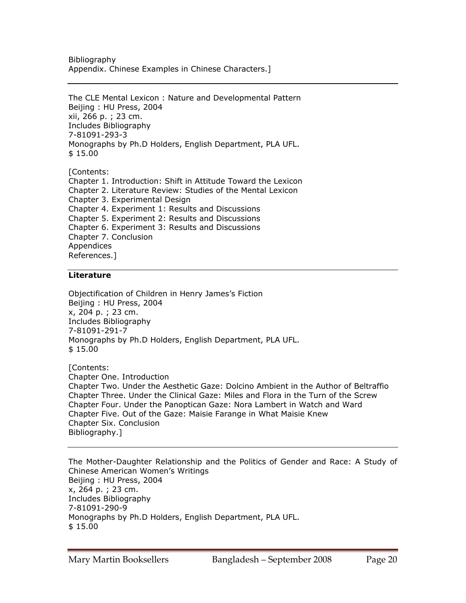Bibliography Appendix. Chinese Examples in Chinese Characters.]

The CLE Mental Lexicon : Nature and Developmental Pattern Beijing : HU Press, 2004 xii, 266 p. ; 23 cm. Includes Bibliography 7-81091-293-3 Monographs by Ph.D Holders, English Department, PLA UFL. \$ 15.00

[Contents: Chapter 1. Introduction: Shift in Attitude Toward the Lexicon Chapter 2. Literature Review: Studies of the Mental Lexicon Chapter 3. Experimental Design Chapter 4. Experiment 1: Results and Discussions Chapter 5. Experiment 2: Results and Discussions Chapter 6. Experiment 3: Results and Discussions Chapter 7. Conclusion Appendices References.]

# **Literature**

Objectification of Children in Henry James's Fiction Beijing : HU Press, 2004 x, 204 p. ; 23 cm. Includes Bibliography 7-81091-291-7 Monographs by Ph.D Holders, English Department, PLA UFL. \$ 15.00

[Contents: Chapter One. Introduction Chapter Two. Under the Aesthetic Gaze: Dolcino Ambient in the Author of Beltraffio Chapter Three. Under the Clinical Gaze: Miles and Flora in the Turn of the Screw Chapter Four. Under the Panoptican Gaze: Nora Lambert in Watch and Ward Chapter Five. Out of the Gaze: Maisie Farange in What Maisie Knew Chapter Six. Conclusion Bibliography.]

The Mother-Daughter Relationship and the Politics of Gender and Race: A Study of Chinese American Women's Writings Beijing : HU Press, 2004 x, 264 p. ; 23 cm. Includes Bibliography 7-81091-290-9 Monographs by Ph.D Holders, English Department, PLA UFL. \$ 15.00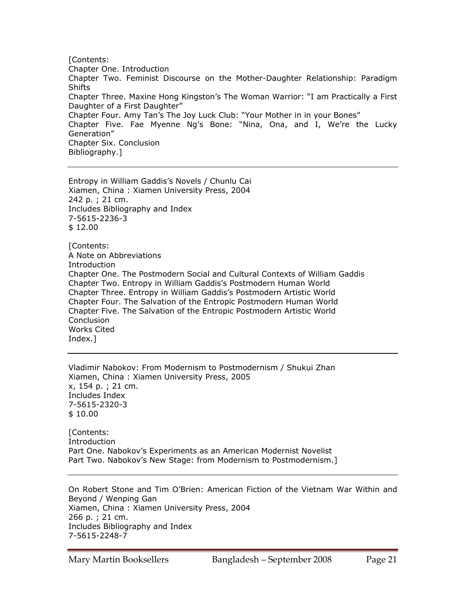[Contents: Chapter One. Introduction Chapter Two. Feminist Discourse on the Mother-Daughter Relationship: Paradigm **Shifts** Chapter Three. Maxine Hong Kingston's The Woman Warrior: "I am Practically a First Daughter of a First Daughter" Chapter Four. Amy Tan's The Joy Luck Club: "Your Mother in in your Bones" Chapter Five. Fae Myenne Ng's Bone: "Nina, Ona, and I, We're the Lucky Generation" Chapter Six. Conclusion Bibliography.]

Entropy in William Gaddis's Novels / Chunlu Cai Xiamen, China : Xiamen University Press, 2004 242 p. ; 21 cm. Includes Bibliography and Index 7-5615-2236-3 \$ 12.00

[Contents: A Note on Abbreviations Introduction Chapter One. The Postmodern Social and Cultural Contexts of William Gaddis Chapter Two. Entropy in William Gaddis's Postmodern Human World Chapter Three. Entropy in William Gaddis's Postmodern Artistic World Chapter Four. The Salvation of the Entropic Postmodern Human World Chapter Five. The Salvation of the Entropic Postmodern Artistic World **Conclusion** Works Cited Index.]

Vladimir Nabokov: From Modernism to Postmodernism / Shukui Zhan Xiamen, China : Xiamen University Press, 2005 x, 154 p. ; 21 cm. Includes Index 7-5615-2320-3 \$ 10.00

[Contents: Introduction Part One. Nabokov's Experiments as an American Modernist Novelist Part Two. Nabokov's New Stage: from Modernism to Postmodernism.]

On Robert Stone and Tim O'Brien: American Fiction of the Vietnam War Within and Beyond / Wenping Gan Xiamen, China : Xiamen University Press, 2004 266 p. ; 21 cm. Includes Bibliography and Index 7-5615-2248-7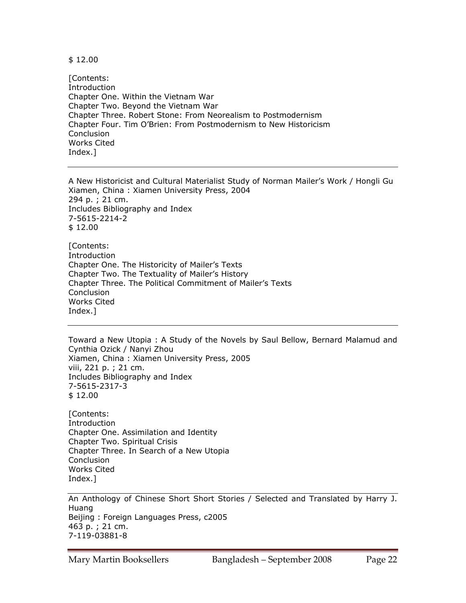\$ 12.00

[Contents: Introduction Chapter One. Within the Vietnam War Chapter Two. Beyond the Vietnam War Chapter Three. Robert Stone: From Neorealism to Postmodernism Chapter Four. Tim O'Brien: From Postmodernism to New Historicism **Conclusion** Works Cited Index.]

A New Historicist and Cultural Materialist Study of Norman Mailer's Work / Hongli Gu Xiamen, China : Xiamen University Press, 2004 294 p. ; 21 cm. Includes Bibliography and Index 7-5615-2214-2 \$ 12.00

[Contents: Introduction Chapter One. The Historicity of Mailer's Texts Chapter Two. The Textuality of Mailer's History Chapter Three. The Political Commitment of Mailer's Texts **Conclusion** Works Cited Index.]

Toward a New Utopia : A Study of the Novels by Saul Bellow, Bernard Malamud and Cynthia Ozick / Nanyi Zhou Xiamen, China : Xiamen University Press, 2005 viii, 221 p. ; 21 cm. Includes Bibliography and Index 7-5615-2317-3 \$ 12.00

[Contents: Introduction Chapter One. Assimilation and Identity Chapter Two. Spiritual Crisis Chapter Three. In Search of a New Utopia **Conclusion** Works Cited Index.]

An Anthology of Chinese Short Short Stories / Selected and Translated by Harry J. Huang Beijing : Foreign Languages Press, c2005 463 p. ; 21 cm. 7-119-03881-8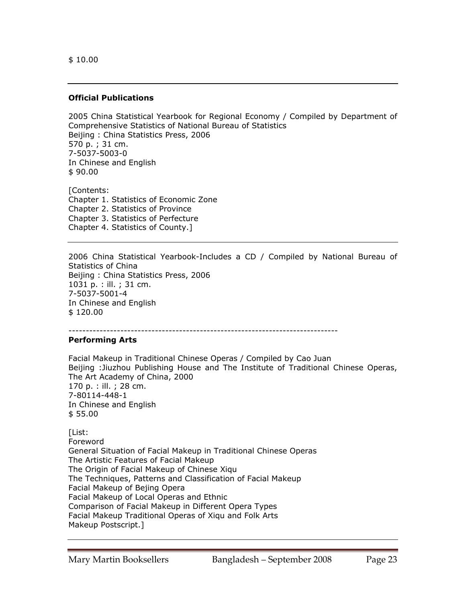## **Official Publications**

2005 China Statistical Yearbook for Regional Economy / Compiled by Department of Comprehensive Statistics of National Bureau of Statistics Beijing : China Statistics Press, 2006 570 p. ; 31 cm. 7-5037-5003-0 In Chinese and English \$ 90.00

[Contents: Chapter 1. Statistics of Economic Zone Chapter 2. Statistics of Province Chapter 3. Statistics of Perfecture Chapter 4. Statistics of County.]

2006 China Statistical Yearbook-Includes a CD / Compiled by National Bureau of Statistics of China Beijing : China Statistics Press, 2006 1031 p. : ill. ; 31 cm. 7-5037-5001-4 In Chinese and English \$ 120.00

------------------------------------------------------------------------------

#### **Performing Arts**

Facial Makeup in Traditional Chinese Operas / Compiled by Cao Juan Beijing :Jiuzhou Publishing House and The Institute of Traditional Chinese Operas, The Art Academy of China, 2000 170 p. : ill. ; 28 cm. 7-80114-448-1 In Chinese and English \$ 55.00

[List: Foreword General Situation of Facial Makeup in Traditional Chinese Operas The Artistic Features of Facial Makeup The Origin of Facial Makeup of Chinese Xiqu The Techniques, Patterns and Classification of Facial Makeup Facial Makeup of Bejing Opera Facial Makeup of Local Operas and Ethnic Comparison of Facial Makeup in Different Opera Types Facial Makeup Traditional Operas of Xiqu and Folk Arts Makeup Postscript.]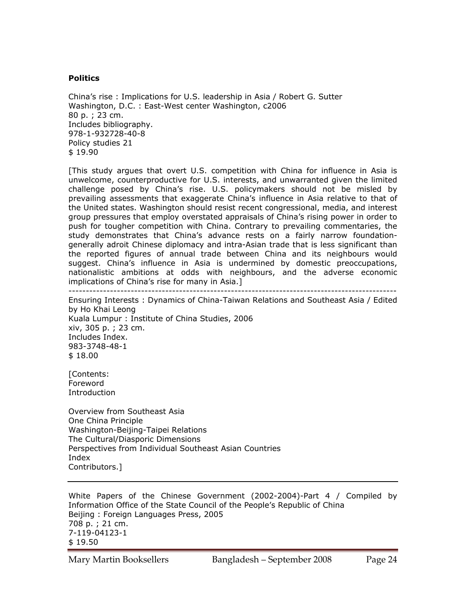#### **Politics**

China's rise : Implications for U.S. leadership in Asia / Robert G. Sutter Washington, D.C. : East-West center Washington, c2006 80 p. ; 23 cm. Includes bibliography. 978-1-932728-40-8 Policy studies 21 \$ 19.90

[This study argues that overt U.S. competition with China for influence in Asia is unwelcome, counterproductive for U.S. interests, and unwarranted given the limited challenge posed by China's rise. U.S. policymakers should not be misled by prevailing assessments that exaggerate China's influence in Asia relative to that of the United states. Washington should resist recent congressional, media, and interest group pressures that employ overstated appraisals of China's rising power in order to push for tougher competition with China. Contrary to prevailing commentaries, the study demonstrates that China's advance rests on a fairly narrow foundationgenerally adroit Chinese diplomacy and intra-Asian trade that is less significant than the reported figures of annual trade between China and its neighbours would suggest. China's influence in Asia is undermined by domestic preoccupations, nationalistic ambitions at odds with neighbours, and the adverse economic implications of China's rise for many in Asia.]

-----------------------------------------------------------------------------------------------

Ensuring Interests : Dynamics of China-Taiwan Relations and Southeast Asia / Edited by Ho Khai Leong Kuala Lumpur : Institute of China Studies, 2006 xiv, 305 p. ; 23 cm. Includes Index. 983-3748-48-1 \$ 18.00

[Contents: Foreword Introduction

Overview from Southeast Asia One China Principle Washington-Beijing-Taipei Relations The Cultural/Diasporic Dimensions Perspectives from Individual Southeast Asian Countries Index Contributors.]

White Papers of the Chinese Government (2002-2004)-Part 4 / Compiled by Information Office of the State Council of the People's Republic of China Beijing : Foreign Languages Press, 2005 708 p. ; 21 cm. 7-119-04123-1 \$ 19.50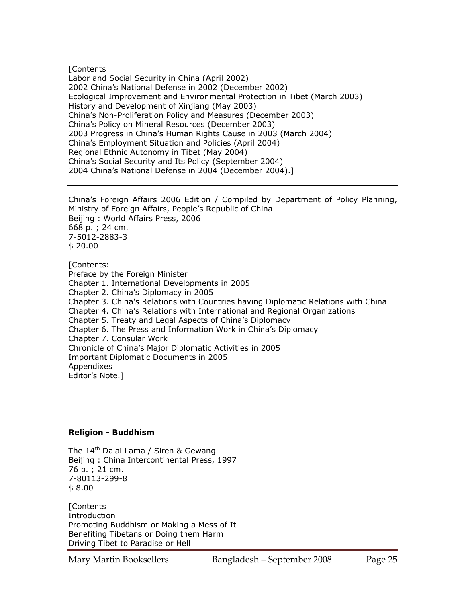**[Contents** Labor and Social Security in China (April 2002) 2002 China's National Defense in 2002 (December 2002) Ecological Improvement and Environmental Protection in Tibet (March 2003) History and Development of Xinjiang (May 2003) China's Non-Proliferation Policy and Measures (December 2003) China's Policy on Mineral Resources (December 2003) 2003 Progress in China's Human Rights Cause in 2003 (March 2004) China's Employment Situation and Policies (April 2004) Regional Ethnic Autonomy in Tibet (May 2004) China's Social Security and Its Policy (September 2004) 2004 China's National Defense in 2004 (December 2004).]

China's Foreign Affairs 2006 Edition / Compiled by Department of Policy Planning, Ministry of Foreign Affairs, People's Republic of China Beijing : World Affairs Press, 2006 668 p. ; 24 cm. 7-5012-2883-3 \$ 20.00 [Contents: Preface by the Foreign Minister Chapter 1. International Developments in 2005 Chapter 2. China's Diplomacy in 2005 Chapter 3. China's Relations with Countries having Diplomatic Relations with China Chapter 4. China's Relations with International and Regional Organizations Chapter 5. Treaty and Legal Aspects of China's Diplomacy Chapter 6. The Press and Information Work in China's Diplomacy Chapter 7. Consular Work Chronicle of China's Major Diplomatic Activities in 2005 Important Diplomatic Documents in 2005 Appendixes

Editor's Note.]

# **Religion - Buddhism**

The 14<sup>th</sup> Dalai Lama / Siren & Gewang Beijing : China Intercontinental Press, 1997 76 p. ; 21 cm. 7-80113-299-8 \$ 8.00

**[Contents** Introduction Promoting Buddhism or Making a Mess of It Benefiting Tibetans or Doing them Harm Driving Tibet to Paradise or Hell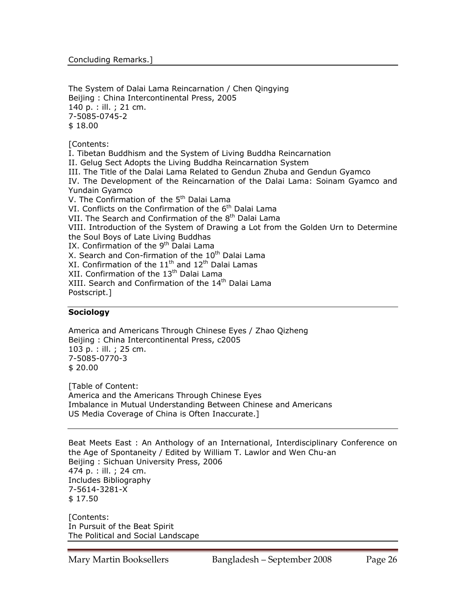The System of Dalai Lama Reincarnation / Chen Qingying Beijing : China Intercontinental Press, 2005 140 p. : ill. ; 21 cm. 7-5085-0745-2 \$ 18.00

[Contents:

I. Tibetan Buddhism and the System of Living Buddha Reincarnation II. Gelug Sect Adopts the Living Buddha Reincarnation System III. The Title of the Dalai Lama Related to Gendun Zhuba and Gendun Gyamco IV. The Development of the Reincarnation of the Dalai Lama: Soinam Gyamco and Yundain Gyamco V. The Confirmation of the 5<sup>th</sup> Dalai Lama VI. Conflicts on the Confirmation of the 6<sup>th</sup> Dalai Lama VII. The Search and Confirmation of the 8<sup>th</sup> Dalai Lama VIII. Introduction of the System of Drawing a Lot from the Golden Urn to Determine the Soul Boys of Late Living Buddhas IX. Confirmation of the 9<sup>th</sup> Dalai Lama X. Search and Con-firmation of the 10<sup>th</sup> Dalai Lama XI. Confirmation of the  $11<sup>th</sup>$  and  $12<sup>th</sup>$  Dalai Lamas XII. Confirmation of the 13<sup>th</sup> Dalai Lama XIII. Search and Confirmation of the 14<sup>th</sup> Dalai Lama Postscript.]

# **Sociology**

America and Americans Through Chinese Eyes / Zhao Qizheng Beijing : China Intercontinental Press, c2005 103 p. : ill. ; 25 cm. 7-5085-0770-3 \$ 20.00

[Table of Content: America and the Americans Through Chinese Eyes Imbalance in Mutual Understanding Between Chinese and Americans US Media Coverage of China is Often Inaccurate.]

Beat Meets East : An Anthology of an International, Interdisciplinary Conference on the Age of Spontaneity / Edited by William T. Lawlor and Wen Chu-an Beijing : Sichuan University Press, 2006 474 p. : ill. ; 24 cm. Includes Bibliography 7-5614-3281-X \$ 17.50

[Contents: In Pursuit of the Beat Spirit The Political and Social Landscape